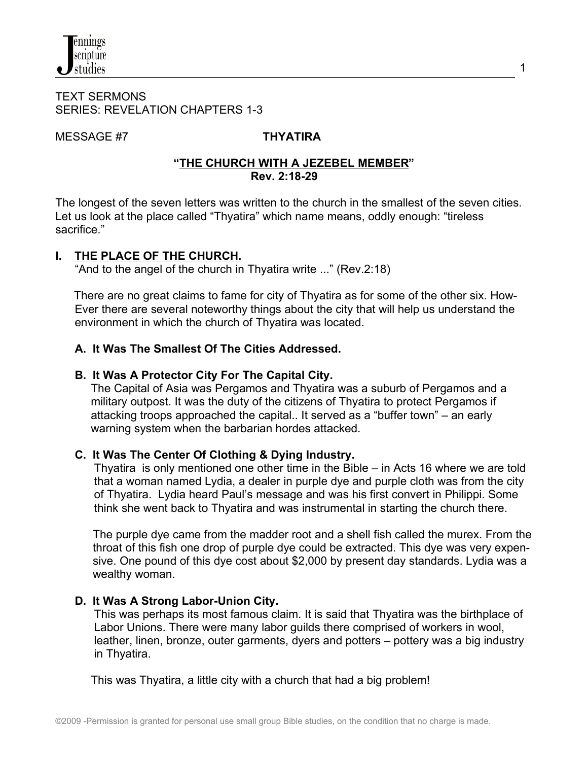#### TEXT SERMONS SERIES: REVELATION CHAPTERS 1-3

MESSAGE #7 **THYATIRA**

#### **"THE CHURCH WITH A JEZEBEL MEMBER" Rev. 2:18-29**

The longest of the seven letters was written to the church in the smallest of the seven cities. Let us look at the place called "Thyatira" which name means, oddly enough: "tireless sacrifice."

## **I. THE PLACE OF THE CHURCH.**

"And to the angel of the church in Thyatira write ..." (Rev.2:18)

There are no great claims to fame for city of Thyatira as for some of the other six. How- Ever there are several noteworthy things about the city that will help us understand the environment in which the church of Thyatira was located.

## **A. It Was The Smallest Of The Cities Addressed.**

## **B. It Was A Protector City For The Capital City.**

 The Capital of Asia was Pergamos and Thyatira was a suburb of Pergamos and a military outpost. It was the duty of the citizens of Thyatira to protect Pergamos if attacking troops approached the capital.. It served as a "buffer town" – an early warning system when the barbarian hordes attacked.

## **C. It Was The Center Of Clothing & Dying Industry.**

 Thyatira is only mentioned one other time in the Bible – in Acts 16 where we are told that a woman named Lydia, a dealer in purple dye and purple cloth was from the city of Thyatira. Lydia heard Paul's message and was his first convert in Philippi. Some think she went back to Thyatira and was instrumental in starting the church there.

The purple dye came from the madder root and a shell fish called the murex. From the throat of this fish one drop of purple dye could be extracted. This dye was very expensive. One pound of this dye cost about \$2,000 by present day standards. Lydia was a wealthy woman.

## **D. It Was A Strong Labor-Union City.**

 This was perhaps its most famous claim. It is said that Thyatira was the birthplace of Labor Unions. There were many labor guilds there comprised of workers in wool, leather, linen, bronze, outer garments, dyers and potters – pottery was a big industry in Thyatira.

This was Thyatira, a little city with a church that had a big problem!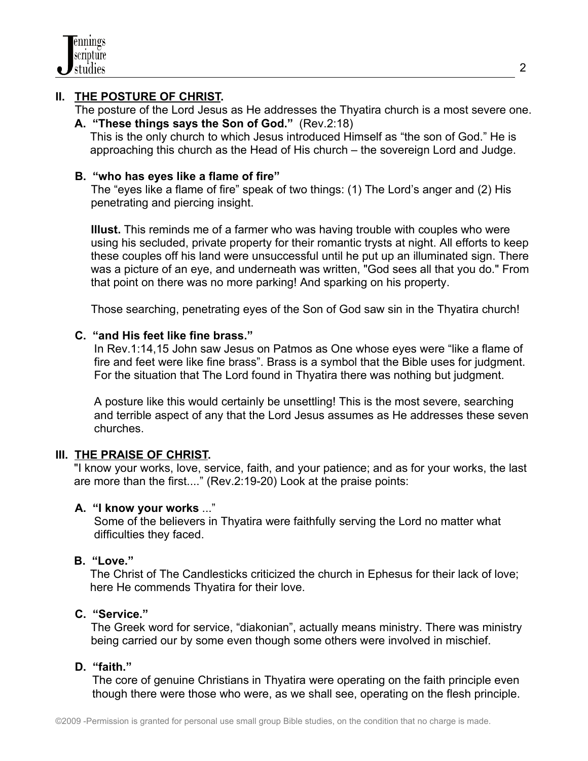

### **II. THE POSTURE OF CHRIST.**

 The posture of the Lord Jesus as He addresses the Thyatira church is a most severe one. **A. "These things says the Son of God."** (Rev.2:18)

 This is the only church to which Jesus introduced Himself as "the son of God." He is approaching this church as the Head of His church – the sovereign Lord and Judge.

#### **B. "who has eyes like a flame of fire"**

 The "eyes like a flame of fire" speak of two things: (1) The Lord's anger and (2) His penetrating and piercing insight.

 **Illust.** This reminds me of a farmer who was having trouble with couples who were using his secluded, private property for their romantic trysts at night. All efforts to keep these couples off his land were unsuccessful until he put up an illuminated sign. There was a picture of an eye, and underneath was written, "God sees all that you do." From that point on there was no more parking! And sparking on his property.

Those searching, penetrating eyes of the Son of God saw sin in the Thyatira church!

#### **C. "and His feet like fine brass."**

 In Rev.1:14,15 John saw Jesus on Patmos as One whose eyes were "like a flame of fire and feet were like fine brass". Brass is a symbol that the Bible uses for judgment. For the situation that The Lord found in Thyatira there was nothing but judgment.

 A posture like this would certainly be unsettling! This is the most severe, searching and terrible aspect of any that the Lord Jesus assumes as He addresses these seven churches.

#### **III. THE PRAISE OF CHRIST.**

"I know your works, love, service, faith, and your patience; and as for your works, the last are more than the first...." (Rev.2:19-20) Look at the praise points:

#### **A. "I know your works** ..."

 Some of the believers in Thyatira were faithfully serving the Lord no matter what difficulties they faced.

#### **B. "Love."**

 The Christ of The Candlesticks criticized the church in Ephesus for their lack of love; here He commends Thyatira for their love.

#### **C. "Service."**

 The Greek word for service, "diakonian", actually means ministry. There was ministry being carried our by some even though some others were involved in mischief.

#### **D. "faith."**

 The core of genuine Christians in Thyatira were operating on the faith principle even though there were those who were, as we shall see, operating on the flesh principle.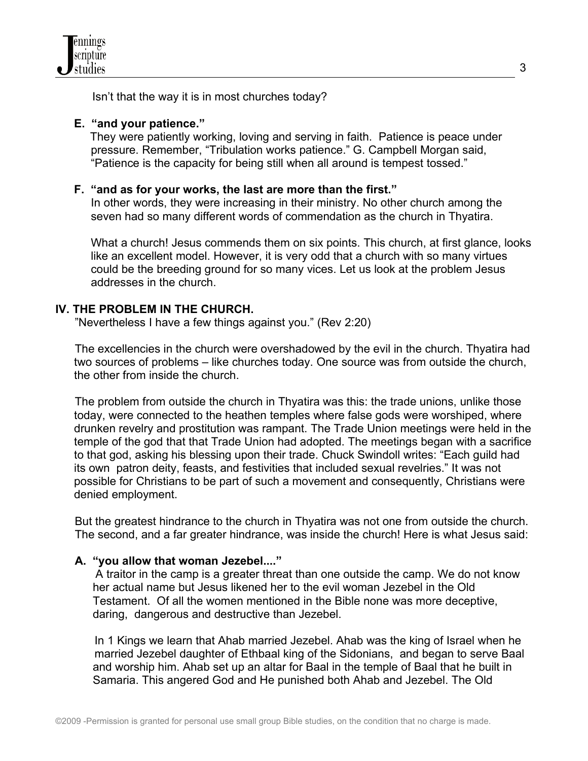

Isn't that the way it is in most churches today?

#### **E. "and your patience."**

 They were patiently working, loving and serving in faith. Patience is peace under pressure. Remember, "Tribulation works patience." G. Campbell Morgan said, "Patience is the capacity for being still when all around is tempest tossed."

### **F. "and as for your works, the last are more than the first."**

 In other words, they were increasing in their ministry. No other church among the seven had so many different words of commendation as the church in Thyatira.

What a church! Jesus commends them on six points. This church, at first glance, looks like an excellent model. However, it is very odd that a church with so many virtues could be the breeding ground for so many vices. Let us look at the problem Jesus addresses in the church.

## **IV. THE PROBLEM IN THE CHURCH.**

"Nevertheless I have a few things against you." (Rev 2:20)

 The excellencies in the church were overshadowed by the evil in the church. Thyatira had two sources of problems – like churches today. One source was from outside the church, the other from inside the church.

 The problem from outside the church in Thyatira was this: the trade unions, unlike those today, were connected to the heathen temples where false gods were worshiped, where drunken revelry and prostitution was rampant. The Trade Union meetings were held in the temple of the god that that Trade Union had adopted. The meetings began with a sacrifice to that god, asking his blessing upon their trade. Chuck Swindoll writes: "Each guild had its own patron deity, feasts, and festivities that included sexual revelries." It was not possible for Christians to be part of such a movement and consequently, Christians were denied employment.

 But the greatest hindrance to the church in Thyatira was not one from outside the church. The second, and a far greater hindrance, was inside the church! Here is what Jesus said:

#### **A. "you allow that woman Jezebel...."**

 A traitor in the camp is a greater threat than one outside the camp. We do not know her actual name but Jesus likened her to the evil woman Jezebel in the Old Testament. Of all the women mentioned in the Bible none was more deceptive, daring, dangerous and destructive than Jezebel.

 In 1 Kings we learn that Ahab married Jezebel. Ahab was the king of Israel when he married Jezebel daughter of Ethbaal king of the Sidonians, and began to serve Baal and worship him. Ahab set up an altar for Baal in the temple of Baal that he built in Samaria. This angered God and He punished both Ahab and Jezebel. The Old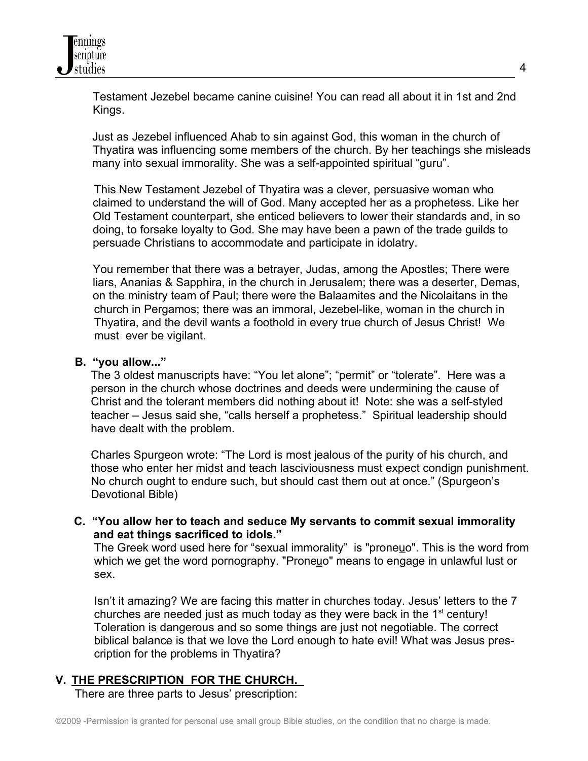Testament Jezebel became canine cuisine! You can read all about it in 1st and 2nd Kings.

 Just as Jezebel influenced Ahab to sin against God, this woman in the church of Thyatira was influencing some members of the church. By her teachings she misleads many into sexual immorality. She was a self-appointed spiritual "guru".

 This New Testament Jezebel of Thyatira was a clever, persuasive woman who claimed to understand the will of God. Many accepted her as a prophetess. Like her Old Testament counterpart, she enticed believers to lower their standards and, in so doing, to forsake loyalty to God. She may have been a pawn of the trade guilds to persuade Christians to accommodate and participate in idolatry.

You remember that there was a betrayer, Judas, among the Apostles; There were liars, Ananias & Sapphira, in the church in Jerusalem; there was a deserter, Demas, on the ministry team of Paul; there were the Balaamites and the Nicolaitans in the church in Pergamos; there was an immoral, Jezebel-like, woman in the church in Thyatira, and the devil wants a foothold in every true church of Jesus Christ! We must ever be vigilant.

#### **B. "you allow..."**

 The 3 oldest manuscripts have: "You let alone"; "permit" or "tolerate". Here was a person in the church whose doctrines and deeds were undermining the cause of Christ and the tolerant members did nothing about it! Note: she was a self-styled teacher – Jesus said she, "calls herself a prophetess." Spiritual leadership should have dealt with the problem.

 Charles Spurgeon wrote: "The Lord is most jealous of the purity of his church, and those who enter her midst and teach lasciviousness must expect condign punishment. No church ought to endure such, but should cast them out at once." (Spurgeon's Devotional Bible)

**C. "You allow her to teach and seduce My servants to commit sexual immorality and eat things sacrificed to idols."**

The Greek word used here for "sexual immorality" is "proneuo". This is the word from which we get the word pornography. "Proneuo" means to engage in unlawful lust or sex.

 Isn't it amazing? We are facing this matter in churches today. Jesus' letters to the 7 churches are needed just as much today as they were back in the  $1<sup>st</sup>$  century! Toleration is dangerous and so some things are just not negotiable. The correct biblical balance is that we love the Lord enough to hate evil! What was Jesus pres cription for the problems in Thyatira?

#### **V. THE PRESCRIPTION FOR THE CHURCH.**

There are three parts to Jesus' prescription: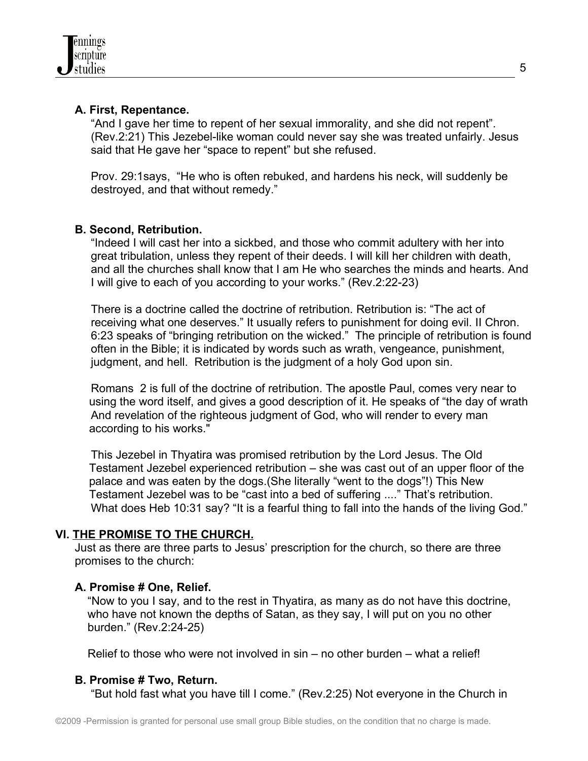## **A. First, Repentance.**

 "And I gave her time to repent of her sexual immorality, and she did not repent". (Rev.2:21) This Jezebel-like woman could never say she was treated unfairly. Jesus said that He gave her "space to repent" but she refused.

 Prov. 29:1says, "He who is often rebuked, and hardens his neck, will suddenly be destroyed, and that without remedy."

## **B. Second, Retribution.**

 "Indeed I will cast her into a sickbed, and those who commit adultery with her into great tribulation, unless they repent of their deeds. I will kill her children with death, and all the churches shall know that I am He who searches the minds and hearts. And I will give to each of you according to your works." (Rev.2:22-23)

 There is a doctrine called the doctrine of retribution. Retribution is: "The act of receiving what one deserves." It usually refers to punishment for doing evil. II Chron. 6:23 speaks of "bringing retribution on the wicked." The principle of retribution is found often in the Bible; it is indicated by words such as wrath, vengeance, punishment, judgment, and hell. Retribution is the judgment of a holy God upon sin.

 Romans 2 is full of the doctrine of retribution. The apostle Paul, comes very near to using the word itself, and gives a good description of it. He speaks of "the day of wrath And revelation of the righteous judgment of God, who will render to every man according to his works."

 This Jezebel in Thyatira was promised retribution by the Lord Jesus. The Old Testament Jezebel experienced retribution – she was cast out of an upper floor of the palace and was eaten by the dogs.(She literally "went to the dogs"!) This New Testament Jezebel was to be "cast into a bed of suffering ...." That's retribution. What does Heb 10:31 say? "It is a fearful thing to fall into the hands of the living God."

# **VI. THE PROMISE TO THE CHURCH.**

 Just as there are three parts to Jesus' prescription for the church, so there are three promises to the church:

## **A. Promise # One, Relief.**

 "Now to you I say, and to the rest in Thyatira, as many as do not have this doctrine, who have not known the depths of Satan, as they say, I will put on you no other burden." (Rev.2:24-25)

Relief to those who were not involved in sin – no other burden – what a relief!

# **B. Promise # Two, Return.**

"But hold fast what you have till I come." (Rev.2:25) Not everyone in the Church in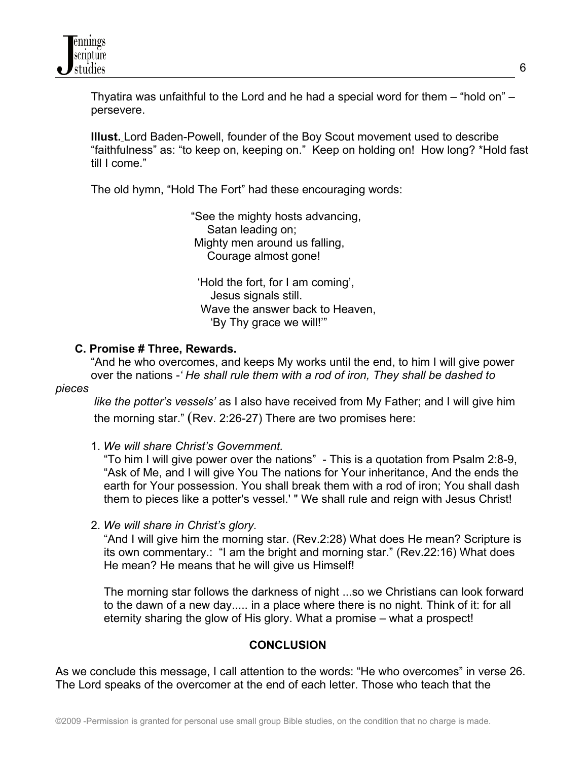

 Thyatira was unfaithful to the Lord and he had a special word for them – "hold on" – persevere.

 **Illust.** Lord Baden-Powell, founder of the Boy Scout movement used to describe "faithfulness" as: "to keep on, keeping on." Keep on holding on! How long? \*Hold fast till I come."

The old hymn, "Hold The Fort" had these encouraging words:

 "See the mighty hosts advancing, Satan leading on; Mighty men around us falling, Courage almost gone!

 'Hold the fort, for I am coming', Jesus signals still. Wave the answer back to Heaven. 'By Thy grace we will!'"

#### **C. Promise # Three, Rewards.**

 "And he who overcomes, and keeps My works until the end, to him I will give power over the nations -*' He shall rule them with a rod of iron, They shall be dashed to*

#### *pieces*

 *like the potter's vessels'* as I also have received from My Father; and I will give him the morning star." (Rev. 2:26-27) There are two promises here:

1. *We will share Christ's Government.*

 "To him I will give power over the nations" - This is a quotation from Psalm 2:8-9, "Ask of Me, and I will give You The nations for Your inheritance, And the ends the earth for Your possession. You shall break them with a rod of iron; You shall dash them to pieces like a potter's vessel.' " We shall rule and reign with Jesus Christ!

2. *We will share in Christ's glory.*

 "And I will give him the morning star. (Rev.2:28) What does He mean? Scripture is its own commentary.: "I am the bright and morning star." (Rev.22:16) What does He mean? He means that he will give us Himself!

 The morning star follows the darkness of night ...so we Christians can look forward to the dawn of a new day..... in a place where there is no night. Think of it: for all eternity sharing the glow of His glory. What a promise – what a prospect!

#### **CONCLUSION**

As we conclude this message, I call attention to the words: "He who overcomes" in verse 26. The Lord speaks of the overcomer at the end of each letter. Those who teach that the